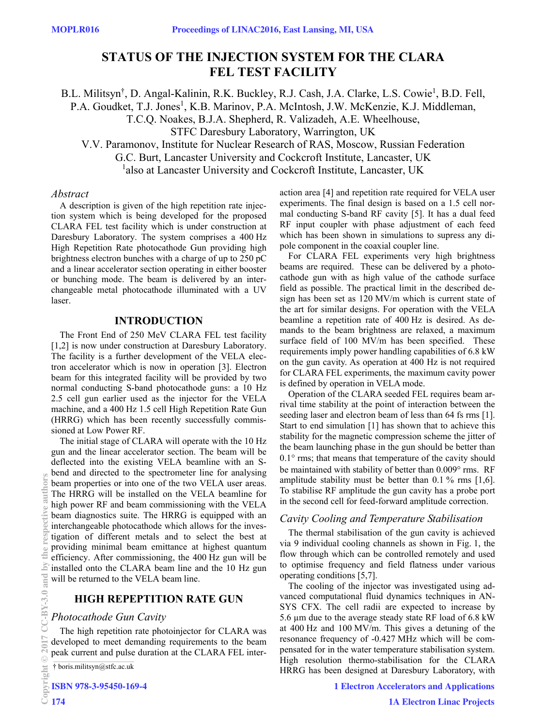# **STATUS OF THE INJECTION SYSTEM FOR THE CLARA FEL TEST FACILITY**

B.L. Militsyn<sup>†</sup>, D. Angal-Kalinin, R.K. Buckley, R.J. Cash, J.A. Clarke, L.S. Cowie<sup>1</sup>, B.D. Fell, P.A. Goudket, T.J. Jones<sup>1</sup>, K.B. Marinov, P.A. McIntosh, J.W. McKenzie, K.J. Middleman, T.C.Q. Noakes, B.J.A. Shepherd, R. Valizadeh, A.E. Wheelhouse, STFC Daresbury Laboratory, Warrington, UK V.V. Paramonov, Institute for Nuclear Research of RAS, Moscow, Russian Federation G.C. Burt, Lancaster University and Cockcroft Institute, Lancaster, UK

<sup>1</sup>also at Lancaster University and Cockcroft Institute, Lancaster, UK

### *Abstract*

A description is given of the high repetition rate injection system which is being developed for the proposed CLARA FEL test facility which is under construction at Daresbury Laboratory. The system comprises a 400 Hz High Repetition Rate photocathode Gun providing high brightness electron bunches with a charge of up to 250 pC and a linear accelerator section operating in either booster or bunching mode. The beam is delivered by an interchangeable metal photocathode illuminated with a UV laser.

### **INTRODUCTION**

The Front End of 250 MeV CLARA FEL test facility [1,2] is now under construction at Daresbury Laboratory. The facility is a further development of the VELA electron accelerator which is now in operation [3]. Electron beam for this integrated facility will be provided by two normal conducting S-band photocathode guns: a 10 Hz 2.5 cell gun earlier used as the injector for the VELA machine, and a 400 Hz 1.5 cell High Repetition Rate Gun (HRRG) which has been recently successfully commissioned at Low Power RF.

The initial stage of CLARA will operate with the 10 Hz gun and the linear accelerator section. The beam will be deflected into the existing VELA beamline with an Sbend and directed to the spectrometer line for analysing beam properties or into one of the two VELA user areas. The HRRG will be installed on the VELA beamline for high power RF and beam commissioning with the VELA beam diagnostics suite. The HRRG is equipped with an interchangeable photocathode which allows for the investigation of different metals and to select the best at providing minimal beam emittance at highest quantum efficiency. After commissioning, the 400 Hz gun will be installed onto the CLARA beam line and the 10 Hz gun will be returned to the VELA beam line.

# **HIGH REPEPTITION RATE GUN**

#### *Photocathode Gun Cavity*

The high repetition rate photoinjector for CLARA was developed to meet demanding requirements to the beam peak current and pulse duration at the CLARA FEL interaction area [4] and repetition rate required for VELA user experiments. The final design is based on a 1.5 cell normal conducting S-band RF cavity [5]. It has a dual feed RF input coupler with phase adjustment of each feed which has been shown in simulations to supress any dipole component in the coaxial coupler line.

For CLARA FEL experiments very high brightness beams are required. These can be delivered by a photocathode gun with as high value of the cathode surface field as possible. The practical limit in the described design has been set as 120 MV/m which is current state of the art for similar designs. For operation with the VELA beamline a repetition rate of 400 Hz is desired. As demands to the beam brightness are relaxed, a maximum surface field of 100 MV/m has been specified. These requirements imply power handling capabilities of 6.8 kW on the gun cavity. As operation at 400 Hz is not required for CLARA FEL experiments, the maximum cavity power is defined by operation in VELA mode.

Operation of the CLARA seeded FEL requires beam arrival time stability at the point of interaction between the seeding laser and electron beam of less than 64 fs rms [1]. Start to end simulation [1] has shown that to achieve this stability for the magnetic compression scheme the jitter of the beam launching phase in the gun should be better than  $0.1^{\circ}$  rms; that means that temperature of the cavity should be maintained with stability of better than 0.009° rms. RF amplitude stability must be better than  $0.1\%$  rms [1,6]. To stabilise RF amplitude the gun cavity has a probe port in the second cell for feed-forward amplitude correction.

### *Cavity Cooling and Temperature Stabilisation*

The thermal stabilisation of the gun cavity is achieved via 9 individual cooling channels as shown in Fig. 1, the flow through which can be controlled remotely and used to optimise frequency and field flatness under various operating conditions [5,7].

The cooling of the injector was investigated using advanced computational fluid dynamics techniques in AN-SYS CFX. The cell radii are expected to increase by 5.6 µm due to the average steady state RF load of 6.8 kW at 400 Hz and 100 MV/m. This gives a detuning of the resonance frequency of -0.427 MHz which will be compensated for in the water temperature stabilisation system. High resolution thermo-stabilisation for the CLARA HRRG has been designed at Daresbury Laboratory, with

**1 Electron Accelerators and Applications**

\_\_\_\_\_\_\_\_\_\_\_\_\_\_\_\_\_\_\_\_\_\_\_\_\_\_\_\_\_\_\_\_\_\_\_\_\_\_\_\_\_\_\_ † boris.militsyn@stfc.ac.uk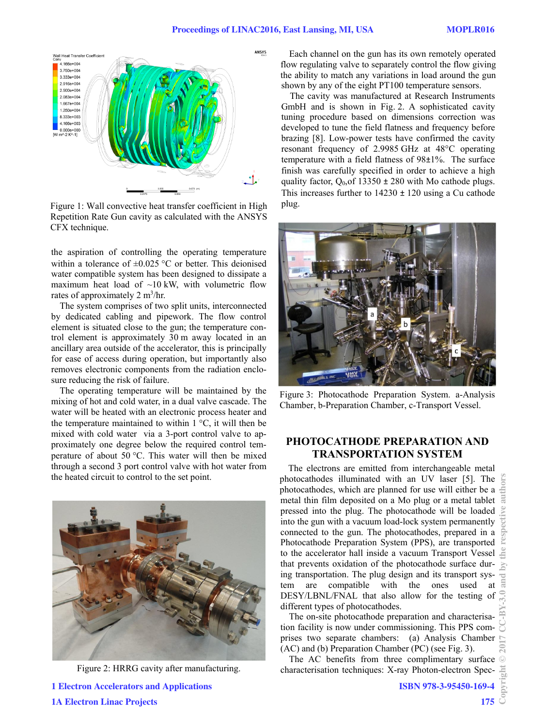

Figure 1: Wall convective heat transfer coefficient in High Repetition Rate Gun cavity as calculated with the ANSYS CFX technique.

the aspiration of controlling the operating temperature within a tolerance of  $\pm 0.025$  °C or better. This deionised water compatible system has been designed to dissipate a maximum heat load of  $\sim 10 \text{ kW}$ , with volumetric flow rates of approximately 2 m<sup>3</sup>/hr.

The system comprises of two split units, interconnected by dedicated cabling and pipework. The flow control element is situated close to the gun; the temperature control element is approximately 30 m away located in an ancillary area outside of the accelerator, this is principally for ease of access during operation, but importantly also removes electronic components from the radiation enclosure reducing the risk of failure.

The operating temperature will be maintained by the mixing of hot and cold water, in a dual valve cascade. The water will be heated with an electronic process heater and the temperature maintained to within  $1^{\circ}C$ , it will then be mixed with cold water via a 3-port control valve to approximately one degree below the required control temperature of about 50  $\degree$ C. This water will then be mixed through a second 3 port control valve with hot water from the heated circuit to control to the set point.



Figure 2: HRRG cavity after manufacturing.

Each channel on the gun has its own remotely operated flow regulating valve to separately control the flow giving the ability to match any variations in load around the gun shown by any of the eight PT100 temperature sensors.

The cavity was manufactured at Research Instruments GmbH and is shown in Fig. 2. A sophisticated cavity tuning procedure based on dimensions correction was developed to tune the field flatness and frequency before brazing [8]. Low-power tests have confirmed the cavity resonant frequency of 2.9985 GHz at 48°C operating temperature with a field flatness of 98±1%. The surface finish was carefully specified in order to achieve a high quality factor,  $Q_{0,0}$  of 13350  $\pm$  280 with Mo cathode plugs. This increases further to  $14230 \pm 120$  using a Cu cathode plug.



Figure 3: Photocathode Preparation System. a-Analysis Chamber, b-Preparation Chamber, c-Transport Vessel.

# **PHOTOCATHODE PREPARATION AND TRANSPORTATION SYSTEM**

The electrons are emitted from interchangeable metal photocathodes illuminated with an UV laser [5]. The photocathodes, which are planned for use will either be a metal thin film deposited on a Mo plug or a metal tablet pressed into the plug. The photocathode will be loaded into the gun with a vacuum load-lock system permanently connected to the gun. The photocathodes, prepared in a Photocathode Preparation System (PPS), are transported to the accelerator hall inside a vacuum Transport Vessel that prevents oxidation of the photocathode surface during transportation. The plug design and its transport system are compatible with the ones used at DESY/LBNL/FNAL that also allow for the testing of different types of photocathodes.

The on-site photocathode preparation and characterisation facility is now under commissioning. This PPS comprises two separate chambers: (a) Analysis Chamber (AC) and (b) Preparation Chamber (PC) (see Fig. 3).

The AC benefits from three complimentary surface characterisation techniques: X-ray Photon-electron Spec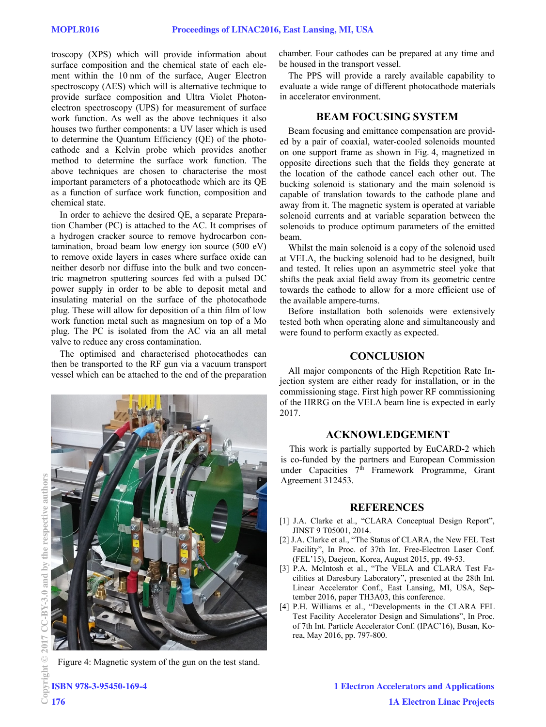troscopy (XPS) which will provide information about surface composition and the chemical state of each element within the 10 nm of the surface, Auger Electron spectroscopy (AES) which will is alternative technique to provide surface composition and Ultra Violet Photonelectron spectroscopy (UPS) for measurement of surface work function. As well as the above techniques it also houses two further components: a UV laser which is used to determine the Quantum Efficiency (QE) of the photocathode and a Kelvin probe which provides another method to determine the surface work function. The above techniques are chosen to characterise the most important parameters of a photocathode which are its QE as a function of surface work function, composition and chemical state.

In order to achieve the desired QE, a separate Preparation Chamber (PC) is attached to the AC. It comprises of a hydrogen cracker source to remove hydrocarbon contamination, broad beam low energy ion source (500 eV) to remove oxide layers in cases where surface oxide can neither desorb nor diffuse into the bulk and two concentric magnetron sputtering sources fed with a pulsed DC power supply in order to be able to deposit metal and insulating material on the surface of the photocathode plug. These will allow for deposition of a thin film of low work function metal such as magnesium on top of a Mo plug. The PC is isolated from the AC via an all metal valve to reduce any cross contamination.

The optimised and characterised photocathodes can then be transported to the RF gun via a vacuum transport vessel which can be attached to the end of the preparation



Figure 4: Magnetic system of the gun on the test stand.

chamber. Four cathodes can be prepared at any time and be housed in the transport vessel.

The PPS will provide a rarely available capability to evaluate a wide range of different photocathode materials in accelerator environment.

### **BEAM FOCUSING SYSTEM**

Beam focusing and emittance compensation are provided by a pair of coaxial, water-cooled solenoids mounted on one support frame as shown in Fig. 4, magnetized in opposite directions such that the fields they generate at the location of the cathode cancel each other out. The bucking solenoid is stationary and the main solenoid is capable of translation towards to the cathode plane and away from it. The magnetic system is operated at variable solenoid currents and at variable separation between the solenoids to produce optimum parameters of the emitted beam.

Whilst the main solenoid is a copy of the solenoid used at VELA, the bucking solenoid had to be designed, built and tested. It relies upon an asymmetric steel yoke that shifts the peak axial field away from its geometric centre towards the cathode to allow for a more efficient use of the available ampere-turns.

Before installation both solenoids were extensively tested both when operating alone and simultaneously and were found to perform exactly as expected.

## **CONCLUSION**

All major components of the High Repetition Rate Injection system are either ready for installation, or in the commissioning stage. First high power RF commissioning of the HRRG on the VELA beam line is expected in early 2017.

# **ACKNOWLEDGEMENT**

This work is partially supported by EuCARD-2 which is co-funded by the partners and European Commission under Capacities 7<sup>th</sup> Framework Programme, Grant Agreement 312453.

#### **REFERENCES**

- [1] J.A. Clarke et al., "CLARA Conceptual Design Report", JINST 9 T05001, 2014.
- [2] J.A. Clarke et al., "The Status of CLARA, the New FEL Test Facility", In Proc. of 37th Int. Free-Electron Laser Conf. (FEL'15), Daejeon, Korea, August 2015, pp. 49-53.
- [3] P.A. McIntosh et al., "The VELA and CLARA Test Facilities at Daresbury Laboratory", presented at the 28th Int. Linear Accelerator Conf., East Lansing, MI, USA, September 2016, paper TH3A03, this conference.
- [4] P.H. Williams et al., "Developments in the CLARA FEL Test Facility Accelerator Design and Simulations", In Proc. of 7th Int. Particle Accelerator Conf. (IPAC'16), Busan, Korea, May 2016, pp. 797-800.